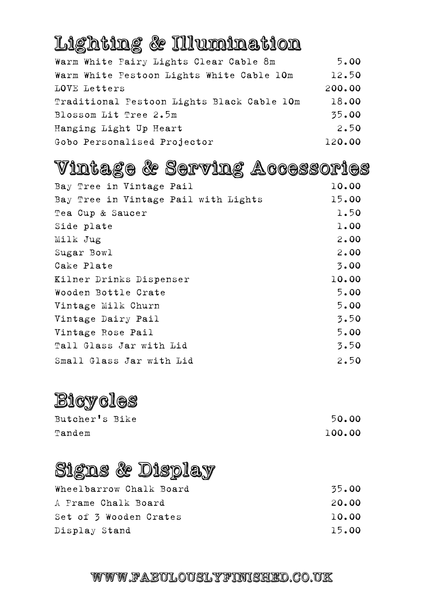### Lighting & Illumination

| Warm White Fairy Lights Clear Cable 8m     | 5.00   |
|--------------------------------------------|--------|
| Warm White Festoon Lights White Cable 10m  | 12.50  |
| LOVE Letters                               | 200.00 |
| Traditional Festoon Lights Black Cable 10m | 18.00  |
| Blossom Lit Tree 2.5m                      | 35.00  |
| Hanging Light Up Heart                     | 2.50   |
| Gobo Personalised Projector                | 120.00 |

# Vintage & Serving Accessories

| Bay Tree in Vintage Pail             | 10.00 |
|--------------------------------------|-------|
| Bay Tree in Vintage Pail with Lights | 15.00 |
| Tea Cup & Saucer                     | 1.50  |
| Side plate                           | 1.00  |
| Milk Jug                             | 2.00  |
| Sugar Bowl                           | 2.00  |
| Cake Plate                           | 3.00  |
| Kilner Drinks Dispenser              | 10.00 |
| Wooden Bottle Crate                  | 5.00  |
| Vintage Milk Churn                   | 5.00  |
| Vintage Dairy Pail                   | 3.50  |
| Vintage Rose Pail                    | 5.00  |
| Tall Glass Jar with Lid              | 3.50  |
| Small Glass Jar with Lid             | 2.50  |

### Bicycles

| Butcher's Bike | 50.00  |
|----------------|--------|
| Tandem         | 100.00 |

### Signs & Display

| Wheelbarrow Chalk Board | 35.00 |
|-------------------------|-------|
| A Frame Chalk Board     | 20.00 |
| Set of 3 Wooden Crates  | 10.00 |
| Display Stand           | 15.00 |

#### WWW.FABULOUSLYFINISHED.CO.UK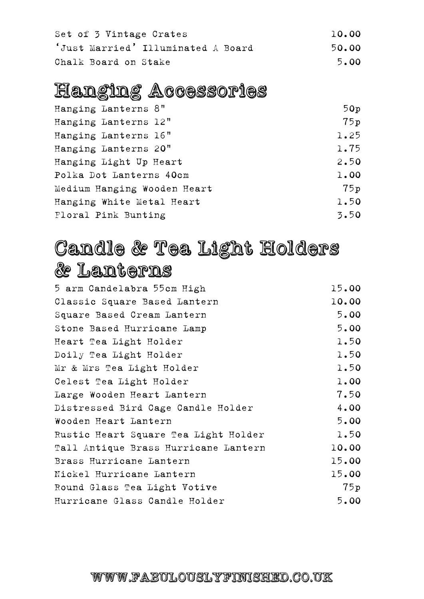| Set of 3 Vintage Crates            | 10.00 |
|------------------------------------|-------|
| 'Just Married' Illuminated A Board | 50.00 |
| Chalk Board on Stake               | 5.00  |

### Hanging Accessories

| Hanging Lanterns 8"         | 50p  |
|-----------------------------|------|
| Hanging Lanterns 12"        | 75p  |
| Hanging Lanterns 16"        | 1.25 |
| Hanging Lanterns 20"        | 1.75 |
| Hanging Light Up Heart      | 2.50 |
| Polka Dot Lanterns 40cm     | 1.00 |
| Medium Hanging Wooden Heart | 75p  |
| Hanging White Metal Heart   | 1.50 |
| Floral Pink Bunting         | 3.50 |
|                             |      |

### Candle & Tea Light Holders & Lanterns

| 5 arm Candelabra 55cm High           | 15.00 |
|--------------------------------------|-------|
| Classic Square Based Lantern         | 10.00 |
| Square Based Cream Lantern           | 5.00  |
| Stone Based Hurricane Lamp           | 5.00  |
| Heart Tea Light Holder               | 1.50  |
| Doily Tea Light Holder               | 1.50  |
| Mr & Mrs Tea Light Holder            | 1.50  |
| Celest Tea Light Holder              | 1.00  |
| Large Wooden Heart Lantern           | 7.50  |
| Distressed Bird Cage Candle Holder   | 4.00  |
| Wooden Heart Lantern                 | 5.00  |
| Rustic Heart Square Tea Light Holder | 1.50  |
| Tall Antique Brass Hurricane Lantern | 10.00 |
| Brass Hurricane Lantern              | 15.00 |
| Nickel Hurricane Lantern             | 15.00 |
| Round Glass Tea Light Votive         | 75p   |
| Hurricane Glass Candle Holder        | 5.00  |

#### WWW.FABULOUSLYFINISHED.CO.UK